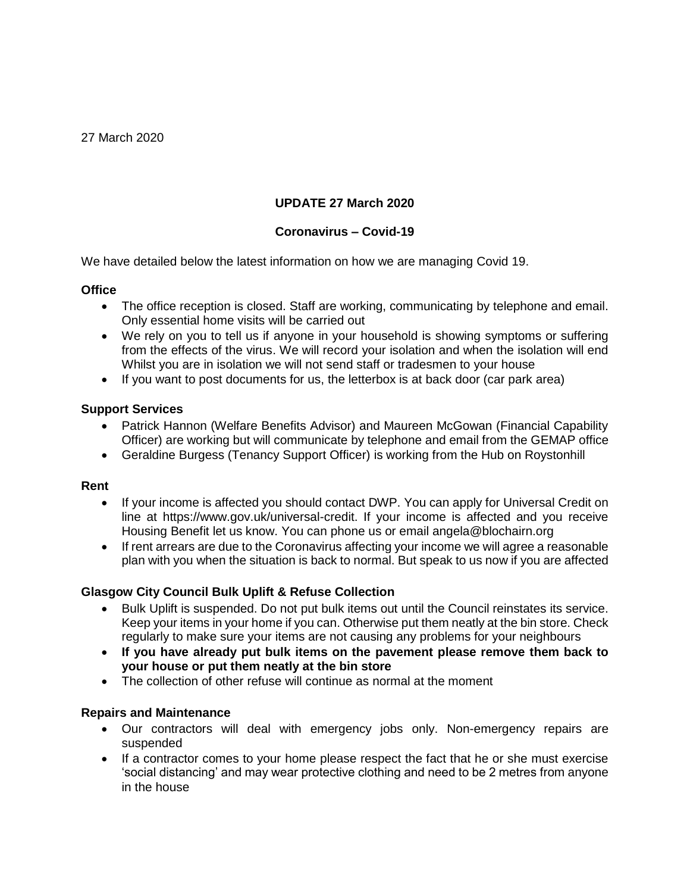# **UPDATE 27 March 2020**

## **Coronavirus – Covid-19**

We have detailed below the latest information on how we are managing Covid 19.

### **Office**

- The office reception is closed. Staff are working, communicating by telephone and email. Only essential home visits will be carried out
- We rely on you to tell us if anyone in your household is showing symptoms or suffering from the effects of the virus. We will record your isolation and when the isolation will end Whilst you are in isolation we will not send staff or tradesmen to your house
- If you want to post documents for us, the letterbox is at back door (car park area)

### **Support Services**

- Patrick Hannon (Welfare Benefits Advisor) and Maureen McGowan (Financial Capability Officer) are working but will communicate by telephone and email from the GEMAP office
- Geraldine Burgess (Tenancy Support Officer) is working from the Hub on Roystonhill

#### **Rent**

- If your income is affected you should contact DWP. You can apply for Universal Credit on line at [https://www.gov.uk/universal-credit.](https://www.gov.uk/universal-credit) If your income is affected and you receive Housing Benefit let us know. You can phone us or email angela@blochairn.org
- If rent arrears are due to the Coronavirus affecting your income we will agree a reasonable plan with you when the situation is back to normal. But speak to us now if you are affected

## **Glasgow City Council Bulk Uplift & Refuse Collection**

- Bulk Uplift is suspended. Do not put bulk items out until the Council reinstates its service. Keep your items in your home if you can. Otherwise put them neatly at the bin store. Check regularly to make sure your items are not causing any problems for your neighbours
- **If you have already put bulk items on the pavement please remove them back to your house or put them neatly at the bin store**
- The collection of other refuse will continue as normal at the moment

## **Repairs and Maintenance**

- Our contractors will deal with emergency jobs only. Non-emergency repairs are suspended
- If a contractor comes to your home please respect the fact that he or she must exercise 'social distancing' and may wear protective clothing and need to be 2 metres from anyone in the house